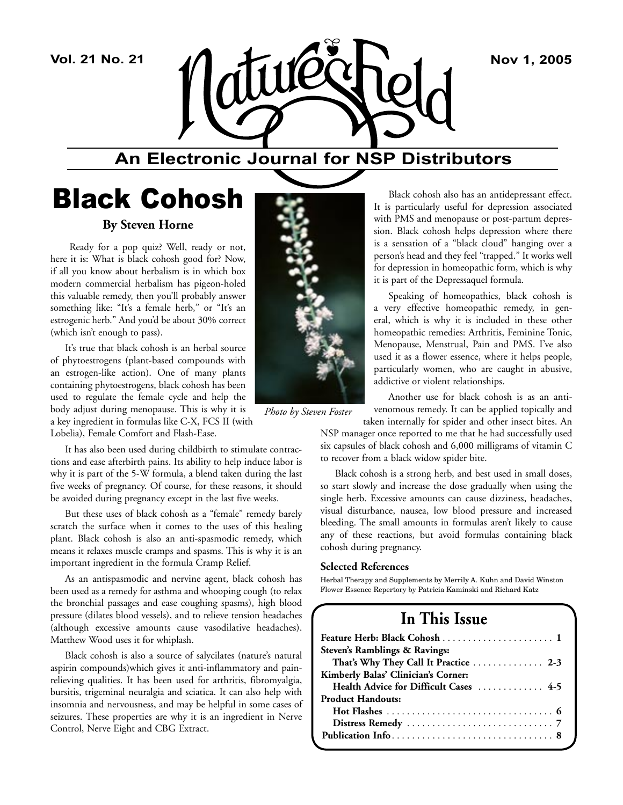

## **An Electronic Journal for NSP Distributors**

## Black Cohosh

#### **By Steven Horne**

 Ready for a pop quiz? Well, ready or not, here it is: What is black cohosh good for? Now, if all you know about herbalism is in which box modern commercial herbalism has pigeon-holed this valuable remedy, then you'll probably answer something like: "It's a female herb," or "It's an estrogenic herb." And you'd be about 30% correct (which isn't enough to pass).

It's true that black cohosh is an herbal source of phytoestrogens (plant-based compounds with an estrogen-like action). One of many plants containing phytoestrogens, black cohosh has been used to regulate the female cycle and help the body adjust during menopause. This is why it is a key ingredient in formulas like C-X, FCS II (with

Lobelia), Female Comfort and Flash-Ease.

It has also been used during childbirth to stimulate contractions and ease afterbirth pains. Its ability to help induce labor is why it is part of the 5-W formula, a blend taken during the last five weeks of pregnancy. Of course, for these reasons, it should be avoided during pregnancy except in the last five weeks.

But these uses of black cohosh as a "female" remedy barely scratch the surface when it comes to the uses of this healing plant. Black cohosh is also an anti-spasmodic remedy, which means it relaxes muscle cramps and spasms. This is why it is an important ingredient in the formula Cramp Relief.

As an antispasmodic and nervine agent, black cohosh has been used as a remedy for asthma and whooping cough (to relax the bronchial passages and ease coughing spasms), high blood pressure (dilates blood vessels), and to relieve tension headaches (although excessive amounts cause vasodilative headaches). Matthew Wood uses it for whiplash.

Black cohosh is also a source of salycilates (nature's natural aspirin compounds)which gives it anti-inflammatory and painrelieving qualities. It has been used for arthritis, fibromyalgia, bursitis, trigeminal neuralgia and sciatica. It can also help with insomnia and nervousness, and may be helpful in some cases of seizures. These properties are why it is an ingredient in Nerve Control, Nerve Eight and CBG Extract.



*Photo by Steven Foster*

Black cohosh also has an antidepressant effect. It is particularly useful for depression associated with PMS and menopause or post-partum depression. Black cohosh helps depression where there is a sensation of a "black cloud" hanging over a person's head and they feel "trapped." It works well for depression in homeopathic form, which is why it is part of the Depressaquel formula.

Speaking of homeopathics, black cohosh is a very effective homeopathic remedy, in general, which is why it is included in these other homeopathic remedies: Arthritis, Feminine Tonic, Menopause, Menstrual, Pain and PMS. I've also used it as a flower essence, where it helps people, particularly women, who are caught in abusive, addictive or violent relationships.

Another use for black cohosh is as an antivenomous remedy. It can be applied topically and taken internally for spider and other insect bites. An

NSP manager once reported to me that he had successfully used six capsules of black cohosh and 6,000 milligrams of vitamin C to recover from a black widow spider bite.

Black cohosh is a strong herb, and best used in small doses, so start slowly and increase the dose gradually when using the single herb. Excessive amounts can cause dizziness, headaches, visual disturbance, nausea, low blood pressure and increased bleeding. The small amounts in formulas aren't likely to cause any of these reactions, but avoid formulas containing black cohosh during pregnancy.

#### **Selected References**

Herbal Therapy and Supplements by Merrily A. Kuhn and David Winston Flower Essence Repertory by Patricia Kaminski and Richard Katz

## **In This Issue**

| Steven's Ramblings & Ravings:          |
|----------------------------------------|
| That's Why They Call It Practice  2-3  |
| Kimberly Balas' Clinician's Corner:    |
| Health Advice for Difficult Cases  4-5 |
| <b>Product Handouts:</b>               |
|                                        |
|                                        |
|                                        |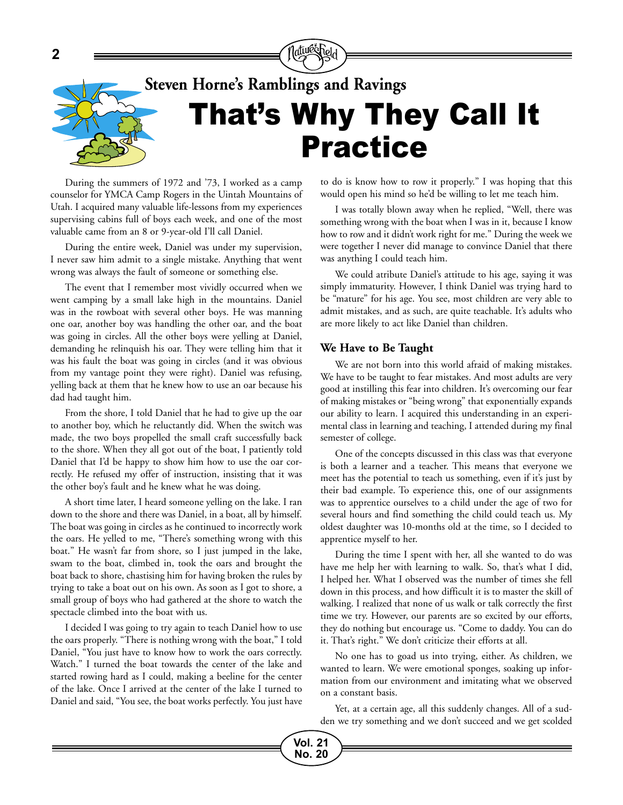

# That's Why They Call It Practice **Steven Horne's Ramblings and Ravings**

During the summers of 1972 and '73, I worked as a camp counselor for YMCA Camp Rogers in the Uintah Mountains of Utah. I acquired many valuable life-lessons from my experiences supervising cabins full of boys each week, and one of the most valuable came from an 8 or 9-year-old I'll call Daniel.

During the entire week, Daniel was under my supervision, I never saw him admit to a single mistake. Anything that went wrong was always the fault of someone or something else.

The event that I remember most vividly occurred when we went camping by a small lake high in the mountains. Daniel was in the rowboat with several other boys. He was manning one oar, another boy was handling the other oar, and the boat was going in circles. All the other boys were yelling at Daniel, demanding he relinquish his oar. They were telling him that it was his fault the boat was going in circles (and it was obvious from my vantage point they were right). Daniel was refusing, yelling back at them that he knew how to use an oar because his dad had taught him.

From the shore, I told Daniel that he had to give up the oar to another boy, which he reluctantly did. When the switch was made, the two boys propelled the small craft successfully back to the shore. When they all got out of the boat, I patiently told Daniel that I'd be happy to show him how to use the oar correctly. He refused my offer of instruction, insisting that it was the other boy's fault and he knew what he was doing.

A short time later, I heard someone yelling on the lake. I ran down to the shore and there was Daniel, in a boat, all by himself. The boat was going in circles as he continued to incorrectly work the oars. He yelled to me, "There's something wrong with this boat." He wasn't far from shore, so I just jumped in the lake, swam to the boat, climbed in, took the oars and brought the boat back to shore, chastising him for having broken the rules by trying to take a boat out on his own. As soon as I got to shore, a small group of boys who had gathered at the shore to watch the spectacle climbed into the boat with us.

I decided I was going to try again to teach Daniel how to use the oars properly. "There is nothing wrong with the boat," I told Daniel, "You just have to know how to work the oars correctly. Watch." I turned the boat towards the center of the lake and started rowing hard as I could, making a beeline for the center of the lake. Once I arrived at the center of the lake I turned to Daniel and said, "You see, the boat works perfectly. You just have

to do is know how to row it properly." I was hoping that this would open his mind so he'd be willing to let me teach him.

I was totally blown away when he replied, "Well, there was something wrong with the boat when I was in it, because I know how to row and it didn't work right for me." During the week we were together I never did manage to convince Daniel that there was anything I could teach him.

We could atribute Daniel's attitude to his age, saying it was simply immaturity. However, I think Daniel was trying hard to be "mature" for his age. You see, most children are very able to admit mistakes, and as such, are quite teachable. It's adults who are more likely to act like Daniel than children.

#### **We Have to Be Taught**

We are not born into this world afraid of making mistakes. We have to be taught to fear mistakes. And most adults are very good at instilling this fear into children. It's overcoming our fear of making mistakes or "being wrong" that exponentially expands our ability to learn. I acquired this understanding in an experimental class in learning and teaching, I attended during my final semester of college.

One of the concepts discussed in this class was that everyone is both a learner and a teacher. This means that everyone we meet has the potential to teach us something, even if it's just by their bad example. To experience this, one of our assignments was to apprentice ourselves to a child under the age of two for several hours and find something the child could teach us. My oldest daughter was 10-months old at the time, so I decided to apprentice myself to her.

During the time I spent with her, all she wanted to do was have me help her with learning to walk. So, that's what I did, I helped her. What I observed was the number of times she fell down in this process, and how difficult it is to master the skill of walking. I realized that none of us walk or talk correctly the first time we try. However, our parents are so excited by our efforts, they do nothing but encourage us. "Come to daddy. You can do it. That's right." We don't criticize their efforts at all.

No one has to goad us into trying, either. As children, we wanted to learn. We were emotional sponges, soaking up information from our environment and imitating what we observed on a constant basis.

Yet, at a certain age, all this suddenly changes. All of a sudden we try something and we don't succeed and we get scolded

**Vol. 21 No. 20**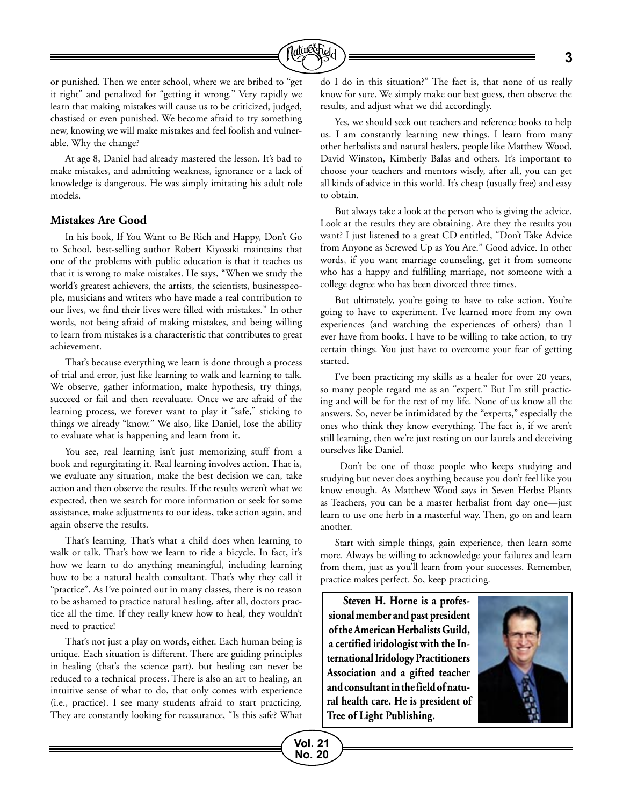

or punished. Then we enter school, where we are bribed to "get it right" and penalized for "getting it wrong." Very rapidly we learn that making mistakes will cause us to be criticized, judged, chastised or even punished. We become afraid to try something new, knowing we will make mistakes and feel foolish and vulnerable. Why the change?

At age 8, Daniel had already mastered the lesson. It's bad to make mistakes, and admitting weakness, ignorance or a lack of knowledge is dangerous. He was simply imitating his adult role models.

#### **Mistakes Are Good**

In his book, If You Want to Be Rich and Happy, Don't Go to School, best-selling author Robert Kiyosaki maintains that one of the problems with public education is that it teaches us that it is wrong to make mistakes. He says, "When we study the world's greatest achievers, the artists, the scientists, businesspeople, musicians and writers who have made a real contribution to our lives, we find their lives were filled with mistakes." In other words, not being afraid of making mistakes, and being willing to learn from mistakes is a characteristic that contributes to great achievement.

That's because everything we learn is done through a process of trial and error, just like learning to walk and learning to talk. We observe, gather information, make hypothesis, try things, succeed or fail and then reevaluate. Once we are afraid of the learning process, we forever want to play it "safe," sticking to things we already "know." We also, like Daniel, lose the ability to evaluate what is happening and learn from it.

You see, real learning isn't just memorizing stuff from a book and regurgitating it. Real learning involves action. That is, we evaluate any situation, make the best decision we can, take action and then observe the results. If the results weren't what we expected, then we search for more information or seek for some assistance, make adjustments to our ideas, take action again, and again observe the results.

That's learning. That's what a child does when learning to walk or talk. That's how we learn to ride a bicycle. In fact, it's how we learn to do anything meaningful, including learning how to be a natural health consultant. That's why they call it "practice". As I've pointed out in many classes, there is no reason to be ashamed to practice natural healing, after all, doctors practice all the time. If they really knew how to heal, they wouldn't need to practice!

That's not just a play on words, either. Each human being is unique. Each situation is different. There are guiding principles in healing (that's the science part), but healing can never be reduced to a technical process. There is also an art to healing, an intuitive sense of what to do, that only comes with experience (i.e., practice). I see many students afraid to start practicing. They are constantly looking for reassurance, "Is this safe? What do I do in this situation?" The fact is, that none of us really know for sure. We simply make our best guess, then observe the results, and adjust what we did accordingly.

Yes, we should seek out teachers and reference books to help us. I am constantly learning new things. I learn from many other herbalists and natural healers, people like Matthew Wood, David Winston, Kimberly Balas and others. It's important to choose your teachers and mentors wisely, after all, you can get all kinds of advice in this world. It's cheap (usually free) and easy to obtain.

But always take a look at the person who is giving the advice. Look at the results they are obtaining. Are they the results you want? I just listened to a great CD entitled, "Don't Take Advice from Anyone as Screwed Up as You Are." Good advice. In other words, if you want marriage counseling, get it from someone who has a happy and fulfilling marriage, not someone with a college degree who has been divorced three times.

But ultimately, you're going to have to take action. You're going to have to experiment. I've learned more from my own experiences (and watching the experiences of others) than I ever have from books. I have to be willing to take action, to try certain things. You just have to overcome your fear of getting started.

I've been practicing my skills as a healer for over 20 years, so many people regard me as an "expert." But I'm still practicing and will be for the rest of my life. None of us know all the answers. So, never be intimidated by the "experts," especially the ones who think they know everything. The fact is, if we aren't still learning, then we're just resting on our laurels and deceiving ourselves like Daniel.

 Don't be one of those people who keeps studying and studying but never does anything because you don't feel like you know enough. As Matthew Wood says in Seven Herbs: Plants as Teachers, you can be a master herbalist from day one—just learn to use one herb in a masterful way. Then, go on and learn another.

Start with simple things, gain experience, then learn some more. Always be willing to acknowledge your failures and learn from them, just as you'll learn from your successes. Remember, practice makes perfect. So, keep practicing.

**Steven H. Horne is a professional member and past president of the American Herbalists Guild, a certified iridologist with the International Iridology Practitioners Association** a**nd a gifted teacher and consultant in the field of natural health care. He is president of Tree of Light Publishing.**

**Vol. 21 No. 20**

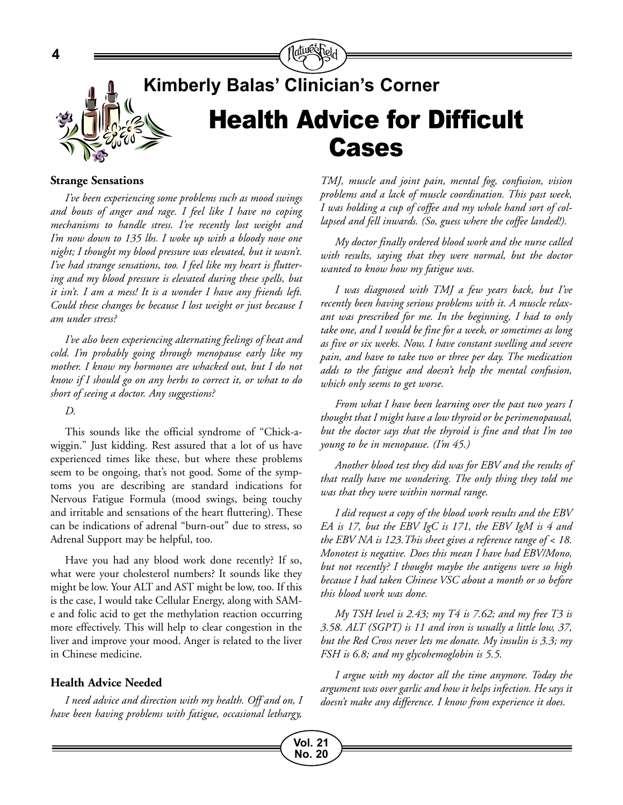

# **Kimberly Balas' Clinician's Corner** Health Advice for Difficult Cases

#### **Strange Sensations**

**4**

*I've been experiencing some problems such as mood swings and bouts of anger and rage. I feel like I have no coping mechanisms to handle stress. I've recently lost weight and I'm now down to 135 lbs. I woke up with a bloody nose one night; I thought my blood pressure was elevated, but it wasn't. I've had strange sensations, too. I feel like my heart is fluttering and my blood pressure is elevated during these spells, but it isn't. I am a mess! It is a wonder I have any friends left. Could these changes be because I lost weight or just because I am under stress?* 

*I've also been experiencing alternating feelings of heat and cold. I'm probably going through menopause early like my mother. I know my hormones are whacked out, but I do not know if I should go on any herbs to correct it, or what to do short of seeing a doctor. Any suggestions?*

*D.*

This sounds like the official syndrome of "Chick-awiggin." Just kidding. Rest assured that a lot of us have experienced times like these, but where these problems seem to be ongoing, that's not good. Some of the symptoms you are describing are standard indications for Nervous Fatigue Formula (mood swings, being touchy and irritable and sensations of the heart fluttering). These can be indications of adrenal "burn-out" due to stress, so Adrenal Support may be helpful, too.

Have you had any blood work done recently? If so, what were your cholesterol numbers? It sounds like they might be low. Your ALT and AST might be low, too. If this is the case, I would take Cellular Energy, along with SAMe and folic acid to get the methylation reaction occurring more effectively. This will help to clear congestion in the liver and improve your mood. Anger is related to the liver in Chinese medicine.

#### **Health Advice Needed**

*I need advice and direction with my health. Off and on, I have been having problems with fatigue, occasional lethargy,* 

> **Vol. 21 No. 20**

*TMJ, muscle and joint pain, mental fog, confusion, vision problems and a lack of muscle coordination. This past week, I was holding a cup of coffee and my whole hand sort of collapsed and fell inwards. (So, guess where the coffee landed!).*

*My doctor finally ordered blood work and the nurse called with results, saying that they were normal, but the doctor wanted to know how my fatigue was.* 

*I was diagnosed with TMJ a few years back, but I've recently been having serious problems with it. A muscle relaxant was prescribed for me. In the beginning, I had to only take one, and I would be fine for a week, or sometimes as long as five or six weeks. Now, I have constant swelling and severe pain, and have to take two or three per day. The medication adds to the fatigue and doesn't help the mental confusion, which only seems to get worse.*

*From what I have been learning over the past two years I thought that I might have a low thyroid or be perimenopausal, but the doctor says that the thyroid is fine and that I'm too young to be in menopause. (I'm 45.)* 

*Another blood test they did was for EBV and the results of that really have me wondering. The only thing they told me was that they were within normal range.*

*I did request a copy of the blood work results and the EBV EA is 17, but the EBV IgC is 171, the EBV IgM is 4 and the EBV NA is 123.This sheet gives a reference range of < 18. Monotest is negative. Does this mean I have had EBV/Mono, but not recently? I thought maybe the antigens were so high because I had taken Chinese VSC about a month or so before this blood work was done.*

*My TSH level is 2.43; my T4 is 7.62; and my free T3 is 3.58. ALT (SGPT) is 11 and iron is usually a little low, 37, but the Red Cross never lets me donate. My insulin is 3.3; my FSH is 6.8; and my glycohemoglobin is 5.5.*

*I argue with my doctor all the time anymore. Today the argument was over garlic and how it helps infection. He says it doesn't make any difference. I know from experience it does.*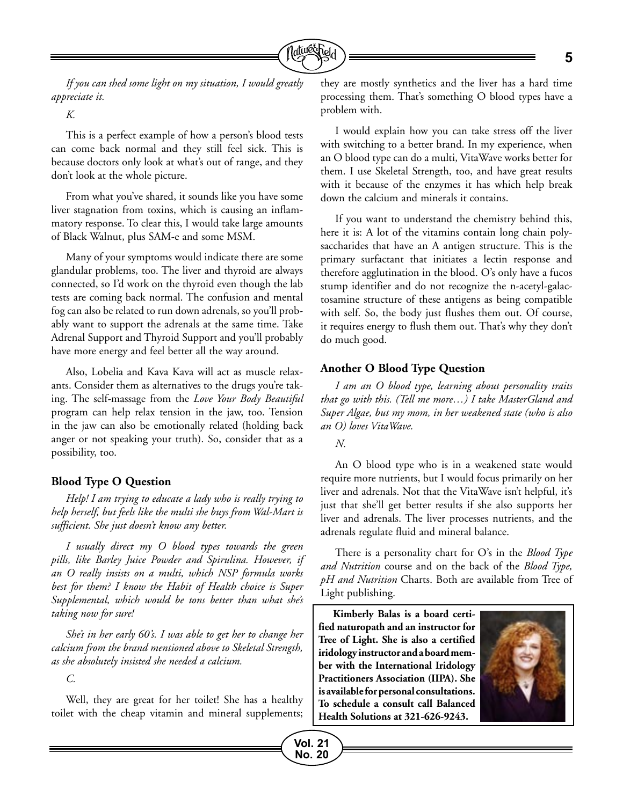

*If you can shed some light on my situation, I would greatly appreciate it.*

*K.*

This is a perfect example of how a person's blood tests can come back normal and they still feel sick. This is because doctors only look at what's out of range, and they don't look at the whole picture.

From what you've shared, it sounds like you have some liver stagnation from toxins, which is causing an inflammatory response. To clear this, I would take large amounts of Black Walnut, plus SAM-e and some MSM.

Many of your symptoms would indicate there are some glandular problems, too. The liver and thyroid are always connected, so I'd work on the thyroid even though the lab tests are coming back normal. The confusion and mental fog can also be related to run down adrenals, so you'll probably want to support the adrenals at the same time. Take Adrenal Support and Thyroid Support and you'll probably have more energy and feel better all the way around.

Also, Lobelia and Kava Kava will act as muscle relaxants. Consider them as alternatives to the drugs you're taking. The self-massage from the *Love Your Body Beautiful* program can help relax tension in the jaw, too. Tension in the jaw can also be emotionally related (holding back anger or not speaking your truth). So, consider that as a possibility, too.

#### **Blood Type O Question**

*Help! I am trying to educate a lady who is really trying to help herself, but feels like the multi she buys from Wal-Mart is sufficient. She just doesn't know any better.* 

*I usually direct my O blood types towards the green pills, like Barley Juice Powder and Spirulina. However, if an O really insists on a multi, which NSP formula works best for them? I know the Habit of Health choice is Super Supplemental, which would be tons better than what she's taking now for sure!* 

*She's in her early 60's. I was able to get her to change her calcium from the brand mentioned above to Skeletal Strength, as she absolutely insisted she needed a calcium.*

*C.*

Well, they are great for her toilet! She has a healthy toilet with the cheap vitamin and mineral supplements;

they are mostly synthetics and the liver has a hard time processing them. That's something O blood types have a problem with.

I would explain how you can take stress off the liver with switching to a better brand. In my experience, when an O blood type can do a multi, VitaWave works better for them. I use Skeletal Strength, too, and have great results with it because of the enzymes it has which help break down the calcium and minerals it contains.

If you want to understand the chemistry behind this, here it is: A lot of the vitamins contain long chain polysaccharides that have an A antigen structure. This is the primary surfactant that initiates a lectin response and therefore agglutination in the blood. O's only have a fucos stump identifier and do not recognize the n-acetyl-galactosamine structure of these antigens as being compatible with self. So, the body just flushes them out. Of course, it requires energy to flush them out. That's why they don't do much good.

#### **Another O Blood Type Question**

*I am an O blood type, learning about personality traits that go with this. (Tell me more…) I take MasterGland and Super Algae, but my mom, in her weakened state (who is also an O) loves VitaWave.* 

*N.*

**Vol. 21 No. 20**

An O blood type who is in a weakened state would require more nutrients, but I would focus primarily on her liver and adrenals. Not that the VitaWave isn't helpful, it's just that she'll get better results if she also supports her liver and adrenals. The liver processes nutrients, and the adrenals regulate fluid and mineral balance.

There is a personality chart for O's in the *Blood Type and Nutrition* course and on the back of the *Blood Type, pH and Nutrition* Charts. Both are available from Tree of Light publishing.

**Kimberly Balas is a board certified naturopath and an instructor for Tree of Light. She is also a certified iridology instructor and a board member with the International Iridology Practitioners Association (IIPA). She is available for personal consultations. To schedule a consult call Balanced Health Solutions at 321-626-9243.**

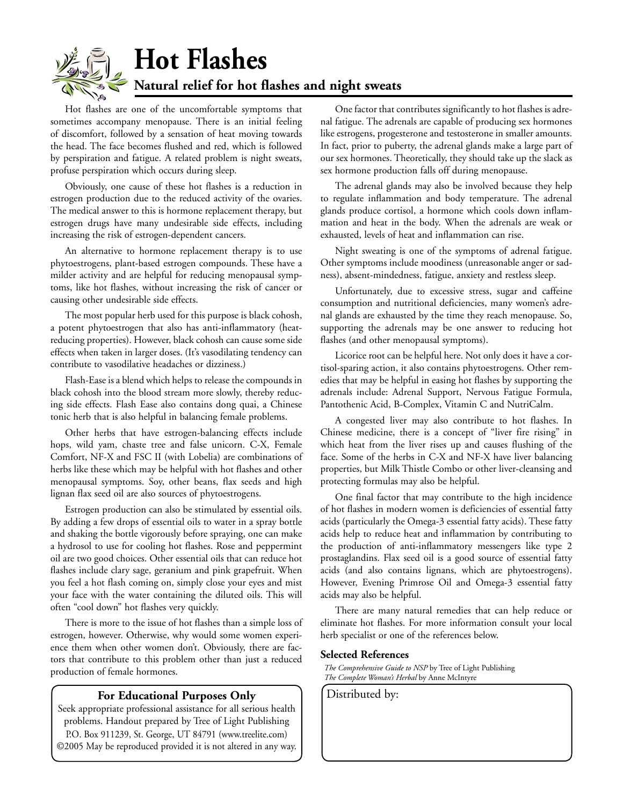

**Hot Flashes Natural relief for hot flashes and night sweats**

Hot flashes are one of the uncomfortable symptoms that sometimes accompany menopause. There is an initial feeling of discomfort, followed by a sensation of heat moving towards the head. The face becomes flushed and red, which is followed by perspiration and fatigue. A related problem is night sweats, profuse perspiration which occurs during sleep.

Obviously, one cause of these hot flashes is a reduction in estrogen production due to the reduced activity of the ovaries. The medical answer to this is hormone replacement therapy, but estrogen drugs have many undesirable side effects, including increasing the risk of estrogen-dependent cancers.

An alternative to hormone replacement therapy is to use phytoestrogens, plant-based estrogen compounds. These have a milder activity and are helpful for reducing menopausal symptoms, like hot flashes, without increasing the risk of cancer or causing other undesirable side effects.

The most popular herb used for this purpose is black cohosh, a potent phytoestrogen that also has anti-inflammatory (heatreducing properties). However, black cohosh can cause some side effects when taken in larger doses. (It's vasodilating tendency can contribute to vasodilative headaches or dizziness.)

Flash-Ease is a blend which helps to release the compounds in black cohosh into the blood stream more slowly, thereby reducing side effects. Flash Ease also contains dong quai, a Chinese tonic herb that is also helpful in balancing female problems.

Other herbs that have estrogen-balancing effects include hops, wild yam, chaste tree and false unicorn. C-X, Female Comfort, NF-X and FSC II (with Lobelia) are combinations of herbs like these which may be helpful with hot flashes and other menopausal symptoms. Soy, other beans, flax seeds and high lignan flax seed oil are also sources of phytoestrogens.

Estrogen production can also be stimulated by essential oils. By adding a few drops of essential oils to water in a spray bottle and shaking the bottle vigorously before spraying, one can make a hydrosol to use for cooling hot flashes. Rose and peppermint oil are two good choices. Other essential oils that can reduce hot flashes include clary sage, geranium and pink grapefruit. When you feel a hot flash coming on, simply close your eyes and mist your face with the water containing the diluted oils. This will often "cool down" hot flashes very quickly.

There is more to the issue of hot flashes than a simple loss of estrogen, however. Otherwise, why would some women experience them when other women don't. Obviously, there are factors that contribute to this problem other than just a reduced production of female hormones.

#### **For Educational Purposes Only** | Distributed by:

Seek appropriate professional assistance for all serious health problems. Handout prepared by Tree of Light Publishing P.O. Box 911239, St. George, UT 84791 (www.treelite.com) ©2005 May be reproduced provided it is not altered in any way.

One factor that contributes significantly to hot flashes is adrenal fatigue. The adrenals are capable of producing sex hormones like estrogens, progesterone and testosterone in smaller amounts. In fact, prior to puberty, the adrenal glands make a large part of our sex hormones. Theoretically, they should take up the slack as sex hormone production falls off during menopause.

The adrenal glands may also be involved because they help to regulate inflammation and body temperature. The adrenal glands produce cortisol, a hormone which cools down inflammation and heat in the body. When the adrenals are weak or exhausted, levels of heat and inflammation can rise.

Night sweating is one of the symptoms of adrenal fatigue. Other symptoms include moodiness (unreasonable anger or sadness), absent-mindedness, fatigue, anxiety and restless sleep.

Unfortunately, due to excessive stress, sugar and caffeine consumption and nutritional deficiencies, many women's adrenal glands are exhausted by the time they reach menopause. So, supporting the adrenals may be one answer to reducing hot flashes (and other menopausal symptoms).

Licorice root can be helpful here. Not only does it have a cortisol-sparing action, it also contains phytoestrogens. Other remedies that may be helpful in easing hot flashes by supporting the adrenals include: Adrenal Support, Nervous Fatigue Formula, Pantothenic Acid, B-Complex, Vitamin C and NutriCalm.

A congested liver may also contribute to hot flashes. In Chinese medicine, there is a concept of "liver fire rising" in which heat from the liver rises up and causes flushing of the face. Some of the herbs in C-X and NF-X have liver balancing properties, but Milk Thistle Combo or other liver-cleansing and protecting formulas may also be helpful.

One final factor that may contribute to the high incidence of hot flashes in modern women is deficiencies of essential fatty acids (particularly the Omega-3 essential fatty acids). These fatty acids help to reduce heat and inflammation by contributing to the production of anti-inflammatory messengers like type 2 prostaglandins. Flax seed oil is a good source of essential fatty acids (and also contains lignans, which are phytoestrogens). However, Evening Primrose Oil and Omega-3 essential fatty acids may also be helpful.

There are many natural remedies that can help reduce or eliminate hot flashes. For more information consult your local herb specialist or one of the references below.

#### **Selected References**

*The Comprehensive Guide to NSP* by Tree of Light Publishing *The Complete Woman's Herbal* by Anne McIntyre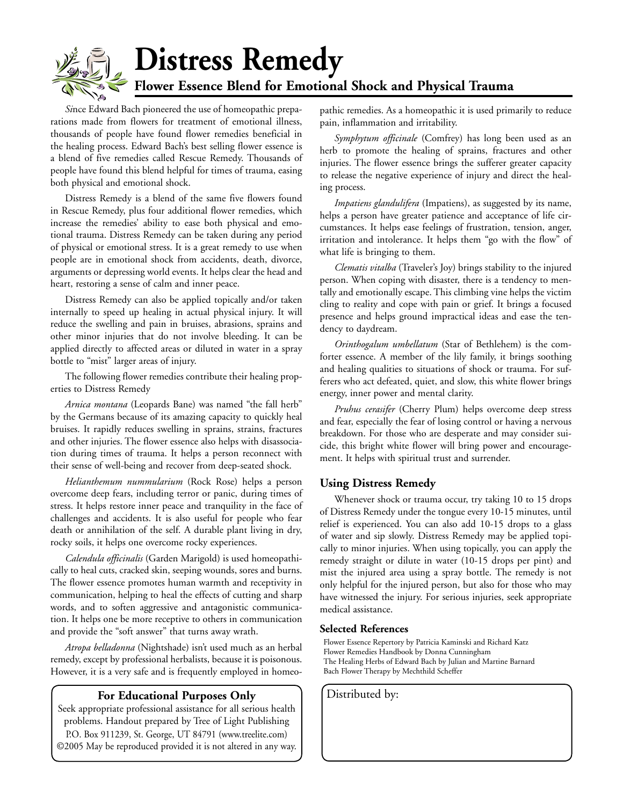# **Distress Remedy Flower Essence Blend for Emotional Shock and Physical Trauma**

*Si*nce Edward Bach pioneered the use of homeopathic preparations made from flowers for treatment of emotional illness, thousands of people have found flower remedies beneficial in the healing process. Edward Bach's best selling flower essence is a blend of five remedies called Rescue Remedy. Thousands of people have found this blend helpful for times of trauma, easing both physical and emotional shock.

Distress Remedy is a blend of the same five flowers found in Rescue Remedy, plus four additional flower remedies, which increase the remedies' ability to ease both physical and emotional trauma. Distress Remedy can be taken during any period of physical or emotional stress. It is a great remedy to use when people are in emotional shock from accidents, death, divorce, arguments or depressing world events. It helps clear the head and heart, restoring a sense of calm and inner peace.

Distress Remedy can also be applied topically and/or taken internally to speed up healing in actual physical injury. It will reduce the swelling and pain in bruises, abrasions, sprains and other minor injuries that do not involve bleeding. It can be applied directly to affected areas or diluted in water in a spray bottle to "mist" larger areas of injury.

The following flower remedies contribute their healing properties to Distress Remedy

*Arnica montana* (Leopards Bane) was named "the fall herb" by the Germans because of its amazing capacity to quickly heal bruises. It rapidly reduces swelling in sprains, strains, fractures and other injuries. The flower essence also helps with disassociation during times of trauma. It helps a person reconnect with their sense of well-being and recover from deep-seated shock.

*Helianthemum nummularium* (Rock Rose) helps a person overcome deep fears, including terror or panic, during times of stress. It helps restore inner peace and tranquility in the face of challenges and accidents. It is also useful for people who fear death or annihilation of the self. A durable plant living in dry, rocky soils, it helps one overcome rocky experiences.

*Calendula officinalis* (Garden Marigold) is used homeopathically to heal cuts, cracked skin, seeping wounds, sores and burns. The flower essence promotes human warmth and receptivity in communication, helping to heal the effects of cutting and sharp words, and to soften aggressive and antagonistic communication. It helps one be more receptive to others in communication and provide the "soft answer" that turns away wrath.

*Atropa belladonna* (Nightshade) isn't used much as an herbal remedy, except by professional herbalists, because it is poisonous. However, it is a very safe and is frequently employed in homeo-

#### **For Educational Purposes Only** | Distributed by:

Seek appropriate professional assistance for all serious health problems. Handout prepared by Tree of Light Publishing P.O. Box 911239, St. George, UT 84791 (www.treelite.com) ©2005 May be reproduced provided it is not altered in any way. pathic remedies. As a homeopathic it is used primarily to reduce pain, inflammation and irritability.

*Symphytum officinale* (Comfrey) has long been used as an herb to promote the healing of sprains, fractures and other injuries. The flower essence brings the sufferer greater capacity to release the negative experience of injury and direct the healing process.

*Impatiens glandulifera* (Impatiens), as suggested by its name, helps a person have greater patience and acceptance of life circumstances. It helps ease feelings of frustration, tension, anger, irritation and intolerance. It helps them "go with the flow" of what life is bringing to them.

*Clematis vitalba* (Traveler's Joy) brings stability to the injured person. When coping with disaster, there is a tendency to mentally and emotionally escape. This climbing vine helps the victim cling to reality and cope with pain or grief. It brings a focused presence and helps ground impractical ideas and ease the tendency to daydream.

*Orinthogalum umbellatum* (Star of Bethlehem) is the comforter essence. A member of the lily family, it brings soothing and healing qualities to situations of shock or trauma. For sufferers who act defeated, quiet, and slow, this white flower brings energy, inner power and mental clarity.

*Pruhus cerasifer* (Cherry Plum) helps overcome deep stress and fear, especially the fear of losing control or having a nervous breakdown. For those who are desperate and may consider suicide, this bright white flower will bring power and encouragement. It helps with spiritual trust and surrender.

#### **Using Distress Remedy**

Whenever shock or trauma occur, try taking 10 to 15 drops of Distress Remedy under the tongue every 10-15 minutes, until relief is experienced. You can also add 10-15 drops to a glass of water and sip slowly. Distress Remedy may be applied topically to minor injuries. When using topically, you can apply the remedy straight or dilute in water (10-15 drops per pint) and mist the injured area using a spray bottle. The remedy is not only helpful for the injured person, but also for those who may have witnessed the injury. For serious injuries, seek appropriate medical assistance.

#### **Selected References**

Flower Essence Repertory by Patricia Kaminski and Richard Katz Flower Remedies Handbook by Donna Cunningham The Healing Herbs of Edward Bach by Julian and Martine Barnard Bach Flower Therapy by Mechthild Scheffer